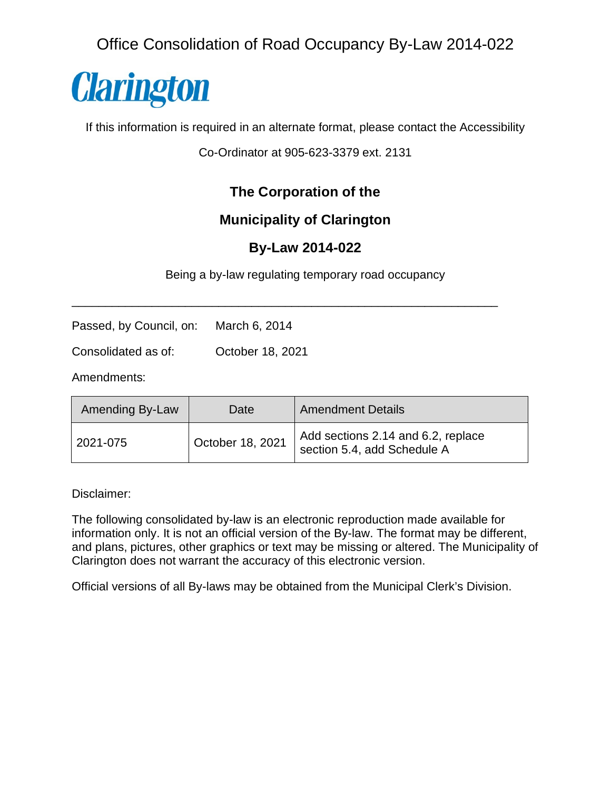Office Consolidation of Road Occupancy By-Law 2014-022



If this information is required in an alternate format, please contact the Accessibility

Co-Ordinator at 905-623-3379 ext. 2131

# **The Corporation of the**

# **Municipality of Clarington**

# **By-Law 2014-022**

Being a by-law regulating temporary road occupancy

\_\_\_\_\_\_\_\_\_\_\_\_\_\_\_\_\_\_\_\_\_\_\_\_\_\_\_\_\_\_\_\_\_\_\_\_\_\_\_\_\_\_\_\_\_\_\_\_\_\_\_\_\_\_\_\_\_\_\_\_\_\_\_\_

Passed, by Council, on: March 6, 2014

Consolidated as of: October 18, 2021

Amendments:

| Amending By-Law | Date             | <b>Amendment Details</b>                                          |
|-----------------|------------------|-------------------------------------------------------------------|
| 2021-075        | October 18, 2021 | Add sections 2.14 and 6.2, replace<br>section 5.4, add Schedule A |

Disclaimer:

The following consolidated by-law is an electronic reproduction made available for information only. It is not an official version of the By-law. The format may be different, and plans, pictures, other graphics or text may be missing or altered. The Municipality of Clarington does not warrant the accuracy of this electronic version.

Official versions of all By-laws may be obtained from the Municipal Clerk's Division.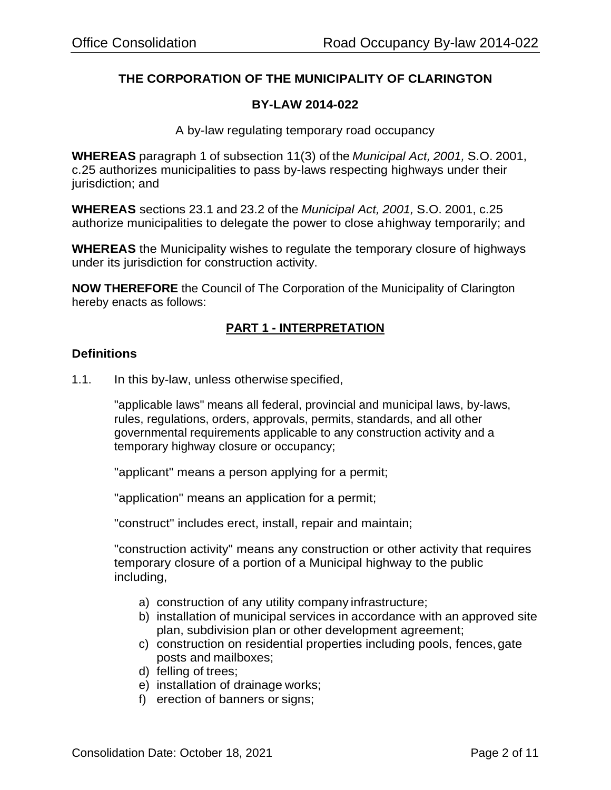# **THE CORPORATION OF THE MUNICIPALITY OF CLARINGTON**

# **BY-LAW 2014-022**

A by-law regulating temporary road occupancy

**WHEREAS** paragraph 1 of subsection 11(3) of the *Municipal Act, 2001,* S.O. 2001, c.25 authorizes municipalities to pass by-laws respecting highways under their jurisdiction; and

**WHEREAS** sections 23.1 and 23.2 of the *Municipal Act, 2001,* S.O. 2001, c.25 authorize municipalities to delegate the power to close ahighway temporarily; and

**WHEREAS** the Municipality wishes to regulate the temporary closure of highways under its jurisdiction for construction activity.

**NOW THEREFORE** the Council of The Corporation of the Municipality of Clarington hereby enacts as follows:

# **PART 1 - INTERPRETATION**

## **Definitions**

1.1. In this by-law, unless otherwise specified,

"applicable laws" means all federal, provincial and municipal laws, by-laws, rules, regulations, orders, approvals, permits, standards, and all other governmental requirements applicable to any construction activity and a temporary highway closure or occupancy;

"applicant" means a person applying for a permit;

"application" means an application for a permit;

"construct" includes erect, install, repair and maintain;

"construction activity" means any construction or other activity that requires temporary closure of a portion of a Municipal highway to the public including,

- a) construction of any utility company infrastructure;
- b) installation of municipal services in accordance with an approved site plan, subdivision plan or other development agreement;
- c) construction on residential properties including pools, fences, gate posts and mailboxes;
- d) felling of trees;
- e) installation of drainage works;
- f) erection of banners or signs;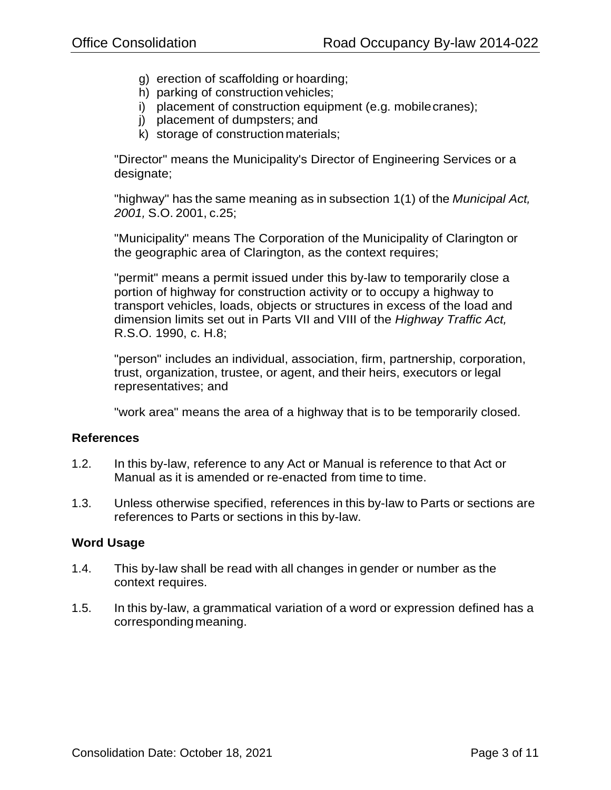- g) erection of scaffolding or hoarding;
- h) parking of construction vehicles;
- i) placement of construction equipment (e.g. mobilecranes);
- j) placement of dumpsters; and
- k) storage of constructionmaterials;

"Director" means the Municipality's Director of Engineering Services or a designate;

"highway" has the same meaning as in subsection 1(1) of the *Municipal Act, 2001,* S.O. 2001, c.25;

"Municipality" means The Corporation of the Municipality of Clarington or the geographic area of Clarington, as the context requires;

"permit" means a permit issued under this by-law to temporarily close a portion of highway for construction activity or to occupy a highway to transport vehicles, loads, objects or structures in excess of the load and dimension limits set out in Parts VII and VIII of the *Highway Traffic Act,*  R.S.O. 1990, c. H.8;

"person" includes an individual, association, firm, partnership, corporation, trust, organization, trustee, or agent, and their heirs, executors or legal representatives; and

"work area" means the area of a highway that is to be temporarily closed.

## **References**

- 1.2. In this by-law, reference to any Act or Manual is reference to that Act or Manual as it is amended or re-enacted from time to time.
- 1.3. Unless otherwise specified, references in this by-law to Parts or sections are references to Parts or sections in this by-law.

## **Word Usage**

- 1.4. This by-law shall be read with all changes in gender or number as the context requires.
- 1.5. In this by-law, a grammatical variation of a word or expression defined has a corresponding meaning.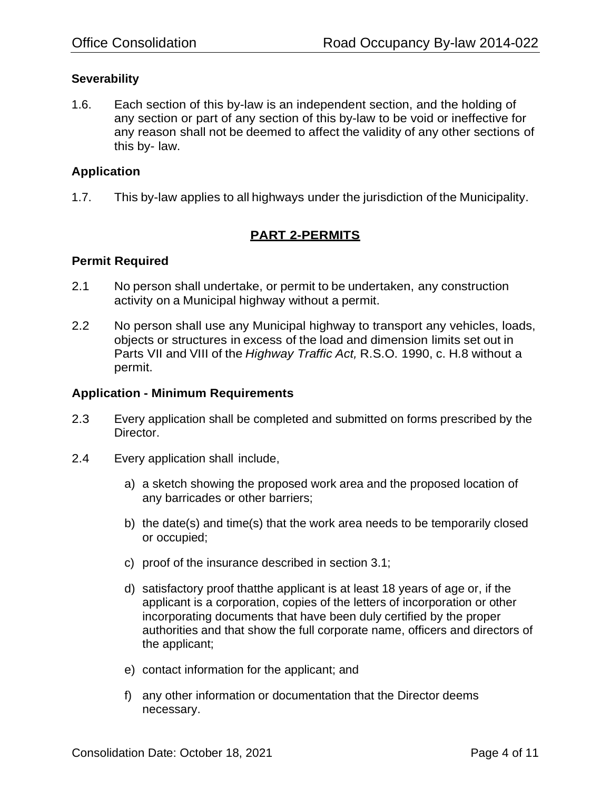# **Severability**

1.6. Each section of this by-law is an independent section, and the holding of any section or part of any section of this by-law to be void or ineffective for any reason shall not be deemed to affect the validity of any other sections of this by- law.

# **Application**

1.7. This by-law applies to all highways under the jurisdiction of the Municipality.

# **PART 2-PERMITS**

## **Permit Required**

- 2.1 No person shall undertake, or permit to be undertaken, any construction activity on a Municipal highway without a permit.
- 2.2 No person shall use any Municipal highway to transport any vehicles, loads, objects or structures in excess of the load and dimension limits set out in Parts VII and VIII of the *Highway Traffic Act,* R.S.O. 1990, c. H.8 without a permit.

## **Application - Minimum Requirements**

- 2.3 Every application shall be completed and submitted on forms prescribed by the Director.
- 2.4 Every application shall include,
	- a) a sketch showing the proposed work area and the proposed location of any barricades or other barriers;
	- b) the date(s) and time(s) that the work area needs to be temporarily closed or occupied;
	- c) proof of the insurance described in section 3.1;
	- d) satisfactory proof thatthe applicant is at least 18 years of age or, if the applicant is a corporation, copies of the letters of incorporation or other incorporating documents that have been duly certified by the proper authorities and that show the full corporate name, officers and directors of the applicant;
	- e) contact information for the applicant; and
	- f) any other information or documentation that the Director deems necessary.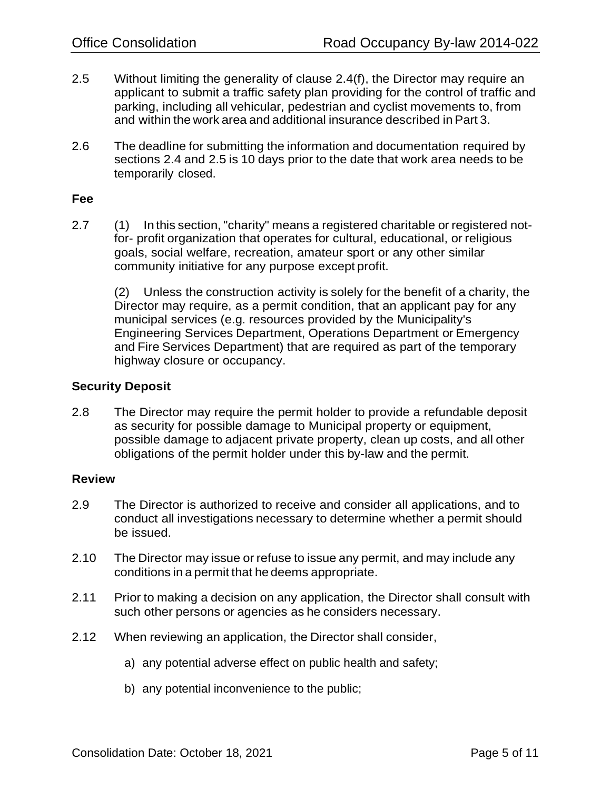- 2.5 Without limiting the generality of clause 2.4(f), the Director may require an applicant to submit a traffic safety plan providing for the control of traffic and parking, including all vehicular, pedestrian and cyclist movements to, from and within the work area and additional insurance described in Part 3.
- 2.6 The deadline for submitting the information and documentation required by sections 2.4 and 2.5 is 10 days prior to the date that work area needs to be temporarily closed.

#### **Fee**

2.7 (1) In this section, "charity" means a registered charitable or registered notfor- profit organization that operates for cultural, educational, or religious goals, social welfare, recreation, amateur sport or any other similar community initiative for any purpose except profit.

(2) Unless the construction activity is solely for the benefit of a charity, the Director may require, as a permit condition, that an applicant pay for any municipal services (e.g. resources provided by the Municipality's Engineering Services Department, Operations Department or Emergency and Fire Services Department) that are required as part of the temporary highway closure or occupancy.

# **Security Deposit**

2.8 The Director may require the permit holder to provide a refundable deposit as security for possible damage to Municipal property or equipment, possible damage to adjacent private property, clean up costs, and all other obligations of the permit holder under this by-law and the permit.

## **Review**

- 2.9 The Director is authorized to receive and consider all applications, and to conduct all investigations necessary to determine whether a permit should be issued.
- 2.10 The Director may issue or refuse to issue any permit, and may include any conditions in a permit that he deems appropriate.
- 2.11 Prior to making a decision on any application, the Director shall consult with such other persons or agencies as he considers necessary.
- 2.12 When reviewing an application, the Director shall consider,
	- a) any potential adverse effect on public health and safety;
	- b) any potential inconvenience to the public;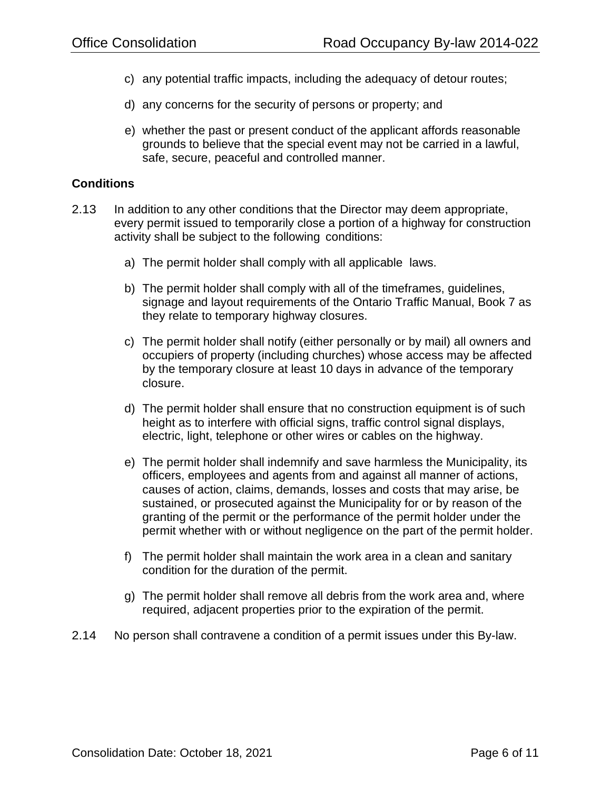- c) any potential traffic impacts, including the adequacy of detour routes;
- d) any concerns for the security of persons or property; and
- e) whether the past or present conduct of the applicant affords reasonable grounds to believe that the special event may not be carried in a lawful, safe, secure, peaceful and controlled manner.

## **Conditions**

- 2.13 In addition to any other conditions that the Director may deem appropriate, every permit issued to temporarily close a portion of a highway for construction activity shall be subject to the following conditions:
	- a) The permit holder shall comply with all applicable laws.
	- b) The permit holder shall comply with all of the timeframes, guidelines, signage and layout requirements of the Ontario Traffic Manual, Book 7 as they relate to temporary highway closures.
	- c) The permit holder shall notify (either personally or by mail) all owners and occupiers of property (including churches) whose access may be affected by the temporary closure at least 10 days in advance of the temporary closure.
	- d) The permit holder shall ensure that no construction equipment is of such height as to interfere with official signs, traffic control signal displays, electric, light, telephone or other wires or cables on the highway.
	- e) The permit holder shall indemnify and save harmless the Municipality, its officers, employees and agents from and against all manner of actions, causes of action, claims, demands, losses and costs that may arise, be sustained, or prosecuted against the Municipality for or by reason of the granting of the permit or the performance of the permit holder under the permit whether with or without negligence on the part of the permit holder.
	- f) The permit holder shall maintain the work area in a clean and sanitary condition for the duration of the permit.
	- g) The permit holder shall remove all debris from the work area and, where required, adjacent properties prior to the expiration of the permit.
- 2.14 No person shall contravene a condition of a permit issues under this By-law.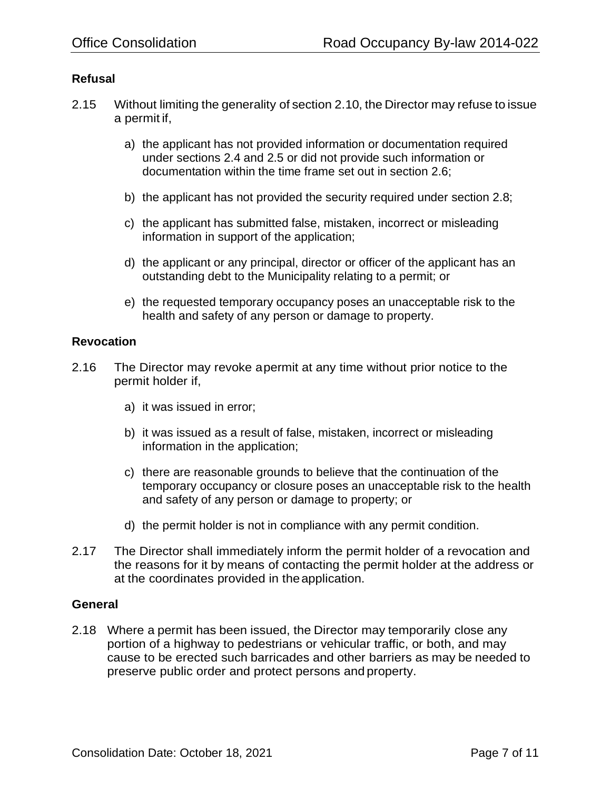# **Refusal**

- 2.15 Without limiting the generality of section 2.10, the Director may refuse to issue a permit if,
	- a) the applicant has not provided information or documentation required under sections 2.4 and 2.5 or did not provide such information or documentation within the time frame set out in section 2.6;
	- b) the applicant has not provided the security required under section 2.8;
	- c) the applicant has submitted false, mistaken, incorrect or misleading information in support of the application;
	- d) the applicant or any principal, director or officer of the applicant has an outstanding debt to the Municipality relating to a permit; or
	- e) the requested temporary occupancy poses an unacceptable risk to the health and safety of any person or damage to property.

#### **Revocation**

- 2.16 The Director may revoke apermit at any time without prior notice to the permit holder if,
	- a) it was issued in error;
	- b) it was issued as a result of false, mistaken, incorrect or misleading information in the application;
	- c) there are reasonable grounds to believe that the continuation of the temporary occupancy or closure poses an unacceptable risk to the health and safety of any person or damage to property; or
	- d) the permit holder is not in compliance with any permit condition.
- 2.17 The Director shall immediately inform the permit holder of a revocation and the reasons for it by means of contacting the permit holder at the address or at the coordinates provided in theapplication.

## **General**

2.18 Where a permit has been issued, the Director may temporarily close any portion of a highway to pedestrians or vehicular traffic, or both, and may cause to be erected such barricades and other barriers as may be needed to preserve public order and protect persons and property.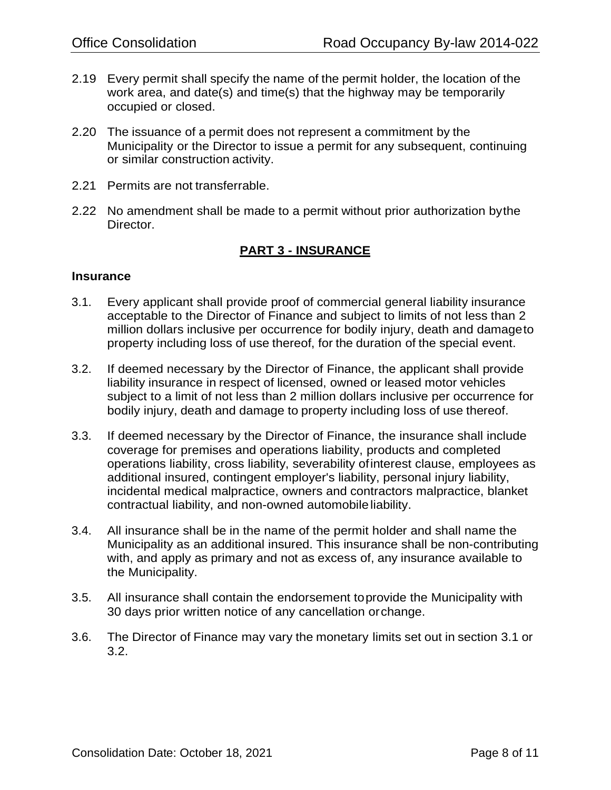- 2.19 Every permit shall specify the name of the permit holder, the location of the work area, and date(s) and time(s) that the highway may be temporarily occupied or closed.
- 2.20 The issuance of a permit does not represent a commitment by the Municipality or the Director to issue a permit for any subsequent, continuing or similar construction activity.
- 2.21 Permits are not transferrable.
- 2.22 No amendment shall be made to a permit without prior authorization bythe Director.

# **PART 3 - INSURANCE**

#### **Insurance**

- 3.1. Every applicant shall provide proof of commercial general liability insurance acceptable to the Director of Finance and subject to limits of not less than 2 million dollars inclusive per occurrence for bodily injury, death and damageto property including loss of use thereof, for the duration of the special event.
- 3.2. If deemed necessary by the Director of Finance, the applicant shall provide liability insurance in respect of licensed, owned or leased motor vehicles subject to a limit of not less than 2 million dollars inclusive per occurrence for bodily injury, death and damage to property including loss of use thereof.
- 3.3. If deemed necessary by the Director of Finance, the insurance shall include coverage for premises and operations liability, products and completed operations liability, cross liability, severability ofinterest clause, employees as additional insured, contingent employer's liability, personal injury liability, incidental medical malpractice, owners and contractors malpractice, blanket contractual liability, and non-owned automobileliability.
- 3.4. All insurance shall be in the name of the permit holder and shall name the Municipality as an additional insured. This insurance shall be non-contributing with, and apply as primary and not as excess of, any insurance available to the Municipality.
- 3.5. All insurance shall contain the endorsement toprovide the Municipality with 30 days prior written notice of any cancellation orchange.
- 3.6. The Director of Finance may vary the monetary limits set out in section 3.1 or 3.2.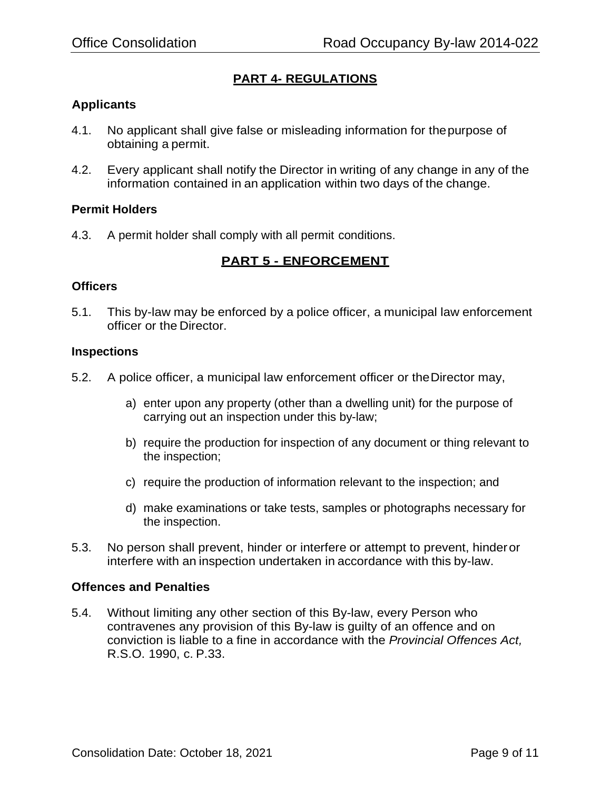# **PART 4- REGULATIONS**

# **Applicants**

- 4.1. No applicant shall give false or misleading information for thepurpose of obtaining a permit.
- 4.2. Every applicant shall notify the Director in writing of any change in any of the information contained in an application within two days of the change.

#### **Permit Holders**

4.3. A permit holder shall comply with all permit conditions.

# **PART 5 - ENFORCEMENT**

#### **Officers**

5.1. This by-law may be enforced by a police officer, a municipal law enforcement officer or the Director.

#### **Inspections**

- 5.2. A police officer, a municipal law enforcement officer or theDirector may,
	- a) enter upon any property (other than a dwelling unit) for the purpose of carrying out an inspection under this by-law;
	- b) require the production for inspection of any document or thing relevant to the inspection;
	- c) require the production of information relevant to the inspection; and
	- d) make examinations or take tests, samples or photographs necessary for the inspection.
- 5.3. No person shall prevent, hinder or interfere or attempt to prevent, hinderor interfere with an inspection undertaken in accordance with this by-law.

## **Offences and Penalties**

5.4. Without limiting any other section of this By-law, every Person who contravenes any provision of this By-law is guilty of an offence and on conviction is liable to a fine in accordance with the *Provincial Offences Act,*  R.S.O. 1990, c. P.33.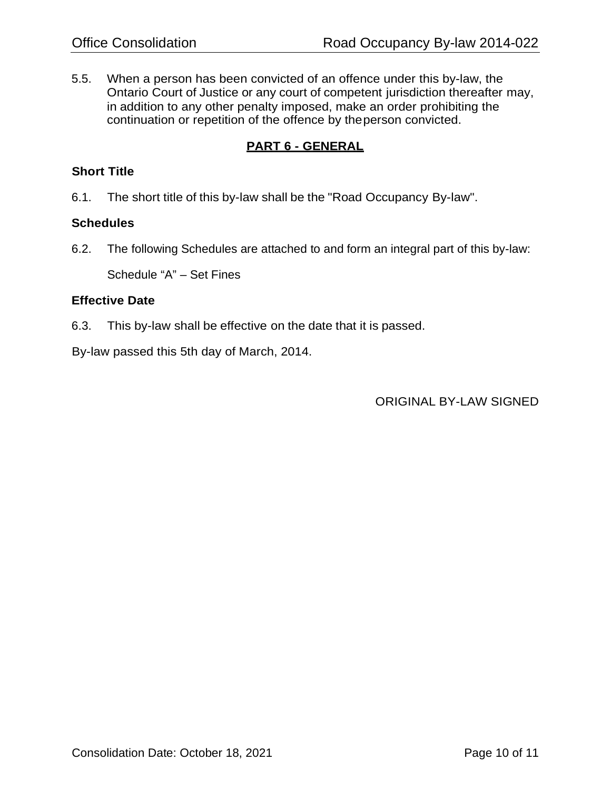5.5. When a person has been convicted of an offence under this by-law, the Ontario Court of Justice or any court of competent jurisdiction thereafter may, in addition to any other penalty imposed, make an order prohibiting the continuation or repetition of the offence by theperson convicted.

# **PART 6 - GENERAL**

# **Short Title**

6.1. The short title of this by-law shall be the "Road Occupancy By-law".

# **Schedules**

6.2. The following Schedules are attached to and form an integral part of this by-law:

Schedule "A" – Set Fines

## **Effective Date**

6.3. This by-law shall be effective on the date that it is passed.

By-law passed this 5th day of March, 2014.

ORIGINAL BY-LAW SIGNED